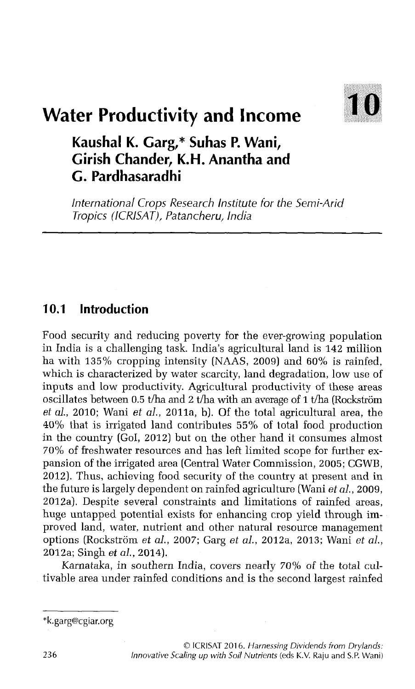

# **Water Productivity and Income**

## **Kaushal K. Garg,\* Suhas P. Wani, Girish Chander, K.H. Anantha and G. Pardhasaradhi**

*International Crops Research Institute for the Semi-Arid Tropics (ICRISAT), Patancheru, India*

### **10.1 Introduction**

Food security and reducing poverty for the ever-growing population in India is a challenging task. India's agricultural land is 142 million ha with 135% cropping intensity (NAAS, 2009) and 60% is rainfed, which is characterized by water scarcity, land degradation, low use of inputs and low productivity. Agricultural productivity of these areas oscillates between 0.5 t/ha and 2 t/ha with an average of 1 t/ha (Rockström *et al.*, 2010; Wani *et al.*, 2011a, b). Of the total agricultural area, the 40% that is irrigated land contributes 55% of total food production in the country (Gol, 2012) but on the other hand it consumes almost 70% of freshwater resources and has left limited scope for further expansion of the irrigated area (Central Water Commission, 2005; CGWB, 2012). Thus, achieving food security of the country at present and in the future is largely dependent on rainfed agriculture (Wani *et al.,* 2009, 2012a). Despite several constraints and limitations of rainfed areas, huge untapped potential exists for enhancing crop yield through improved land, water, nutrient and other natural resource management options (Rockstrom *et al.,* 2007; Garg *et al.,* 2012a, 2013; Wani *et al.,* 2012a; Singh *et al.,* 2014).

Karnataka, in southern India, covers nearly *70%* of the total cultivable area under rainfed conditions and is the second largest rainfed

<sup>\*</sup>k. [garg@cgiar.org](mailto:garg@cgiar.org)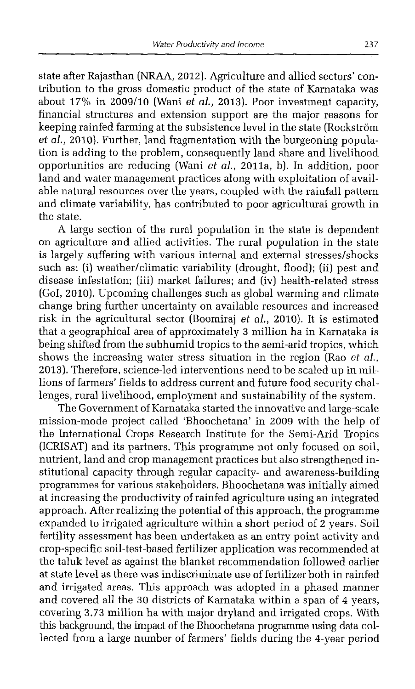state after Rajasthan (NRAA, 2012). Agriculture and allied sectors' contribution to the gross domestic product of the state of Karnataka was about 17% in 2009/10 (Wani *et al.,* 2013). Poor investment capacity, financial structures and extension support are the major reasons for keeping rainfed farming at the subsistence level in the state (Rockstrom *et al.,* 2010). Further, land fragmentation with the burgeoning population is adding to the problem, consequently land share and livelihood opportunities are reducing (Wani *et al.,* 2011a, b). In addition, poor land and water management practices along with exploitation of available natural resources over the years, coupled with the rainfall pattern and climate variability, has contributed to poor agricultural growth in the state.

A large section of the rural population in the state is dependent on agriculture and allied activities. The rural population in the state is largely suffering with various internal and external stresses/shocks such as: (i) weather/climatic variability (drought, flood); (ii) pest and disease infestation; (iii) market failures; and (iv) health-related stress (Gol, 2010). Upcoming challenges such as global warming and climate change bring further uncertainty on available resources and increased risk in the agricultural sector (Boomiraj *et al.,* 2010). It is estimated that a geographical area of approximately 3 million ha in Karnataka is being shifted from the subhumid tropics to the semi-arid tropics, which shows the increasing water stress situation in the region (Rao *et al.,* 2013). Therefore, science-led interventions need to be scaled up in millions of farmers' fields to address current and future food security challenges, rural livelihood, employment and sustainability of the system.

The Government of Karnataka started the innovative and large-scale mission-mode project called 'Bhoochetana' in 2009 with the help of the International Crops Research Institute for the Semi-Arid Tropics (ICRISAT) and its partners. This programme not only focused on soil, nutrient, land and crop management practices but also strengthened institutional capacity through regular capacity- and awareness-building programmes for various stakeholders. Bhoochetana was initially aimed at increasing the productivity of rainfed agriculture using an integrated approach. After realizing the potential of this approach, the programme expanded to irrigated agriculture within a short period of 2 years. Soil fertility assessment has been undertaken as an entry point activity and crop-specific soil-test-based fertilizer application was recommended at the taluk level as against the blanket recommendation followed earlier at state level as there was indiscriminate use of fertilizer both in rainfed and irrigated areas. This approach was adopted in a phased manner and covered all the 30 districts of Karnataka within a span of 4 years, covering 3.73 million ha with major dryland and irrigated crops. With this background, the impact of the Bhoochetana programme using data collected from a large number of farmers' fields during the 4-year period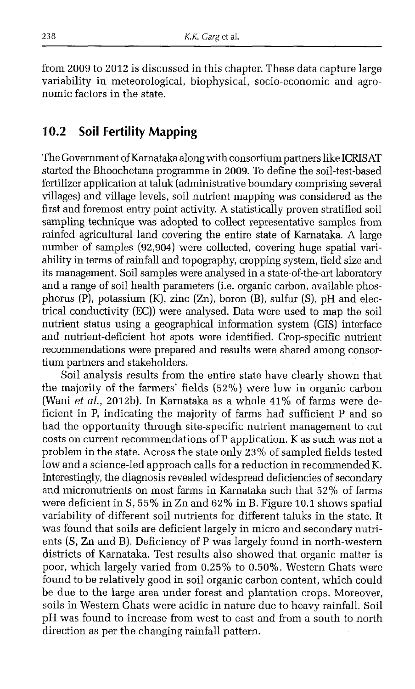from 2009 to 2012 is discussed in this chapter. These data capture large variability in meteorological, biophysical, socio-economic and agronomic factors in the state.

### **10.2 Soil Fertility Mapping**

The Government of Karnataka along with consortium partners like ICRISAT started the Bhoochetana programme in 2009. To define the soil-test-based fertilizer application at taluk (administrative boundary comprising several villages) and village levels, soil nutrient mapping was considered as the first and foremost entry point activity. A statistically proven stratified soil sampling technique was adopted to collect representative samples from rainfed agricultural land covering the entire state of Karnataka. A large number of samples (92,904) were collected, covering huge spatial variability in terms of rainfall and topography, cropping system, field size and its management. Soil samples were analysed in a state-of-the-art laboratory and a range of soil health parameters (i.e. organic carbon, available phosphorus (P), potassium (K), zinc (Zn), boron (B), sulfur (S), pH and electrical conductivity (EC)) were analysed. Data were used to map the soil nutrient status using a geographical information system (GIS) interface and nutrient-deficient hot spots were identified. Crop-specific nutrient recommendations were prepared and results were shared among consortium partners and stakeholders.

Soil analysis results from the entire state have clearly shown that the majority of the farmers' fields (52%) were low in organic carbon (Wani *et al.,* 2012b). In Karnataka as a whole 41% of farms were deficient in P, indicating the majority of farms had sufficient P and so had the opportunity through site-specific nutrient management to cut costs on current recommendations of P application. K as such was not a problem in the state. Across the state only 23% of sampled fields tested low and a science-led approach calls for a reduction in recommended K. Interestingly, the diagnosis revealed widespread deficiencies of secondary and micronutrients on most farms in Karnataka such that 52% of farms were deficient in S, 55% in Zn and 62% in B. Figure 10.1 shows spatial variability of different soil nutrients for different taluks in the state. It was found that soils are deficient largely in micro and secondary nutrients (S, Zn and B). Deficiency of P was largely found in north-western districts of Karnataka. Test results also showed that organic matter is poor, which largely varied from 0.25% to 0.50% . Western Ghats were found to be relatively good in soil organic carbon content, which could be due to the large area under forest and plantation crops. Moreover, soils in Western Ghats were acidic in nature due to heavy rainfall. Soil pH was found to increase from west to east and from a south to north direction as per the changing rainfall pattern.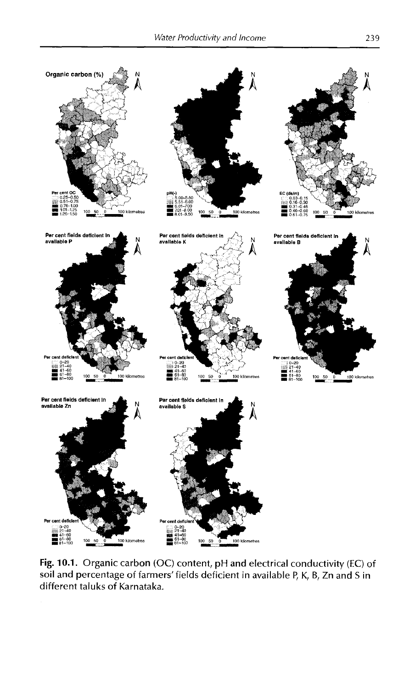

Fig. 10.1. Organic carbon (OC) content, pH and electrical conductivity (EC) of soil and percentage of farmers' fields deficient in available P, K, B, Zn and S in different taluks of Karnataka.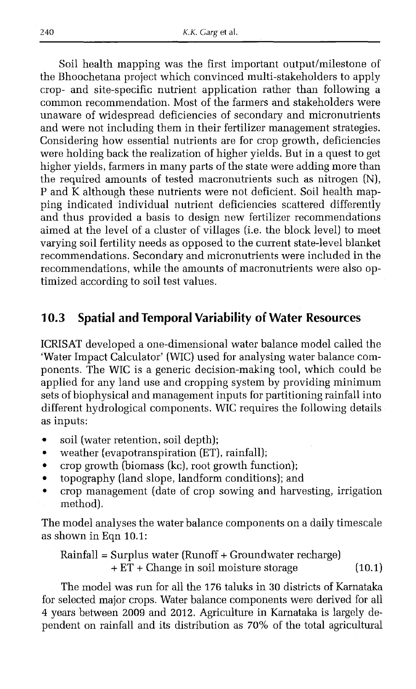Soil health mapping was the first important output/milestone of the Bhoochetana project which convinced multi-stakeholders to apply crop- and site-specific nutrient application rather than following a common recommendation. Most of the farmers and stakeholders were unaware of widespread deficiencies of secondary and micronutrients and were not including them in their fertilizer management strategies. Considering how essential nutrients are for crop growth, deficiencies were holding back the realization of higher yields. But in a quest to get higher yields, farmers in many parts of the state were adding more than the required amounts of tested macronutrients such as nitrogen (N), P and  $\tilde{K}$  although these nutrients were not deficient. Soil health mapping indicated individual nutrient deficiencies scattered differently and thus provided a basis to design new fertilizer recommendations aimed at the level of a cluster of villages (i.e. the block level] to meet varying soil fertility needs as opposed to the current state-level blanket recommendations. Secondary and micronutrients were included in the recommendations, while the amounts of macronutrients were also optimized according to soil test values.

### **10.3 Spatial and Temporal Variability of Water Resources**

ICRISAT developed a one-dimensional water balance model called the 'Water Impact Calculator' (WIC) used for analysing water balance components. The WIC is a generic decision-making tool, which could be applied for any land use and cropping system by providing minimum sets of biophysical and management inputs for partitioning rainfall into different hydrological components. WIC requires the following details as inputs:

- soil (water retention, soil depth);
- weather (evapotranspiration (ET), rainfall);
- crop growth (biomass (kc), root growth function);
- topography (land slope, landform conditions); and
- crop management (date of crop sowing and harvesting, irrigation method).

The model analyses the water balance components on a daily timescale as shown in Eqn 10.1:

$$
Rainfall = Surplus water (Runoff + Groundwater rectangle) + ET + Change in soil moisture storage
$$
 (10.1)

The model was run for all the 176 taluks in 30 districts of Karnataka for selected major crops. Water balance components were derived for all 4 years between 2009 and 2012. Agriculture in Karnataka is largely dependent on rainfall and its distribution as 70% of the total agricultural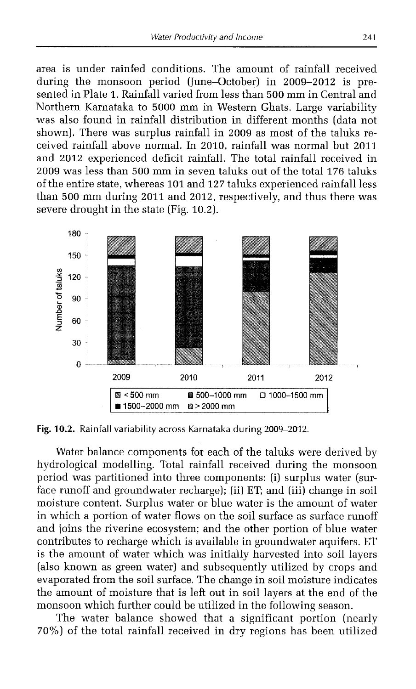area is under rainfed conditions. The amount of rainfall received during the monsoon period (June-October) in 2009-2012 is presented in Plate 1. Rainfall varied from less than 500 mm in Central and Northern Karnataka to 5000 mm in Western Ghats. Large variability was also found in rainfall distribution in different months (data not shown). There was surplus rainfall in 2009 as most of the taluks received rainfall above normal. In 2010, rainfall was normal but 2011 and 2012 experienced deficit rainfall. The total rainfall received in 2009 was less than 500 mm in seven taluks out of the total 176 taluks of the entire state, whereas 101 and 127 taluks experienced rainfall less than 500 mm during 2011 and 2012, respectively, and thus there was severe drought in the state (Fig. 10.2).



**Fig. 10.2.** Rainfall variability across Karnataka during 2009-2012.

Water balance components for each of the taluks were derived by hydrological modelling. Total rainfall received during the monsoon period was partitioned into three components: (i) surplus water (surface runoff and groundwater recharge); (ii) ET; and (iii) change in soil moisture content. Surplus water or blue water is the amount of water in which a portion of water flows on the soil surface as surface runoff and joins the riverine ecosystem; and the other portion of blue water contributes to recharge which is available in groundwater aquifers. ET is the amount of water which was initially harvested into soil layers (also known as green water) and subsequently utilized by crops and evaporated from the soil surface. The change in soil moisture indicates the amount of moisture that is left out in soil layers at the end of the monsoon which further could be utilized in the following season.

The water balance showed that a significant portion (nearly 70%) of the total rainfall received in dry regions has been utilized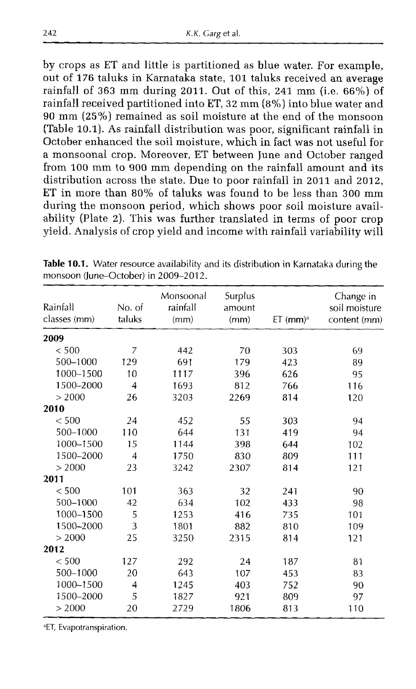by crops as ET and little is partitioned as blue water. For example, out of 176 taluks in Karnataka state, 101 taluks received an average rainfall of 363 mm during 2011. Out of this, 241 mm (i.e.  $66\%$ ) of rainfall received partitioned into ET, 32 mm (8%) into blue water and 90 mm (25% ) remained as soil moisture at the end of the monsoon (Table 10.1). As rainfall distribution was poor, significant rainfall in October enhanced the soil moisture, which in fact was not useful for a monsoonal crop. Moreover, ET between June and October ranged from 100 mm to 900 mm depending on the rainfall amount and its distribution across the state. Due to poor rainfall in 2011 and 2012, ET in more than 80% of taluks was found to be less than 300 mm during the monsoon period, which shows poor soil moisture availability (Plate 2). This was further translated in terms of poor crop yield. Analysis of crop yield and income with rainfall variability will

| Rainfall<br>classes (mm) | No. of<br>taluks        | Monsoonal<br>rainfall<br>(mm) | Surplus<br>amount<br>(mm) | $ET$ (mm) <sup>a</sup> | Change in<br>soil moisture<br>content (mm) |
|--------------------------|-------------------------|-------------------------------|---------------------------|------------------------|--------------------------------------------|
| 2009                     |                         |                               |                           |                        |                                            |
| < 500                    | 7                       | 442                           | 70                        | 303                    | 69                                         |
| 500-1000                 | 129                     | 691                           | 179                       | 423                    | 89                                         |
| 1000~1500                | 10                      | 1117                          | 396                       | 626                    | 95                                         |
| 1500~2000                | $\overline{4}$          | 1693                          | 812                       | 766                    | 116                                        |
| > 2000                   | 26                      | 3203                          | 2269                      | 814                    | 120                                        |
| 2010                     |                         |                               |                           |                        |                                            |
| < 500                    | 24                      | 452                           | 55                        | 303                    | 94                                         |
| 500-1000                 | 110                     | 644                           | 131                       | 419                    | 94                                         |
| 1000-1500                | 15                      | 1144                          | 398                       | 644                    | 102                                        |
| 1500~2000                | $\overline{4}$          | 1750                          | 830                       | 809                    | 111                                        |
| > 2000                   | 23                      | 3242                          | 2307                      | 814                    | 121                                        |
| 2011                     |                         |                               |                           |                        |                                            |
| $<$ 500                  | 101                     | 363                           | 32                        | 241                    | 90                                         |
| 500-1000                 | 42                      | 634                           | 102                       | 433                    | 98                                         |
| 1000-1500                | 5                       | 1253                          | 416                       | 735                    | 101                                        |
| 1500-2000                | $\overline{\mathbf{3}}$ | 1801                          | 882                       | 810                    | 109                                        |
| > 2000                   | 25                      | 3250                          | 2315                      | 814                    | 121                                        |
| 2012                     |                         |                               |                           |                        |                                            |
| < 500                    | 127                     | 292                           | 24                        | 187                    | 81                                         |
| 500-1000                 | 20                      | 643                           | 107                       | 453                    | 83                                         |
| 1000-1500                | 4                       | 1245                          | 403                       | 752                    | 90                                         |
| 1500-2000                | 5                       | 1827                          | 921                       | 809                    | 97                                         |
| > 2000                   | 20                      | 2729                          | 1806                      | 813                    | 110                                        |

**Table 10.1.** Water resource availability and its distribution in Karnataka during the monsoon (June-October) in 2009-2012.

<sup>a</sup>ET, Evapotranspiration.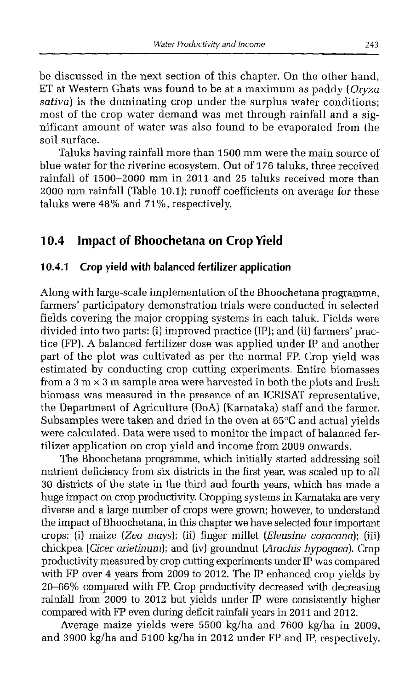be discussed in the next section of this chapter. On the other hand, ET at Western Ghats was found to be at a maximum as paddy *[Oryza sativa)* is the dominating crop under the surplus water conditions; most of the crop water demand was met through rainfall and a significant amount of water was also found to be evaporated from the soil surface.

Taluks having rainfall more than 1500 mm were the main source of blue water for the riverine ecosystem. Out of 176 taluks, three received rainfall of 1500-2000 mm in 2011 and 25 taluks received more than 2000 mm rainfall (Table 10.1); runoff coefficients on average for these taluks were 48% and 71%, respectively.

### **10.4 Impact of Bhoochetana on Crop Yield**

#### **10.4.1 Crop yield with balanced fertilizer application**

Along with large-scale implementation of the Bhoochetana programme, farmers' participatory demonstration trials were conducted in selected fields covering the major cropping systems in each taluk. Fields were divided into two parts: (i) improved practice (IP); and (ii) farmers' practice (FP). A balanced fertilizer dose was applied under IP and another part of the plot was cultivated as per the normal FP. Crop yield was estimated by conducting crop cutting experiments. Entire biomasses from a  $3 \text{ m} \times 3 \text{ m}$  sample area were harvested in both the plots and fresh biomass was measured in the presence of an ICRISAT representative, the Department of Agriculture (DoA) (Karnataka) staff and the farmer. Subsamples were taken and dried in the oven at 65°C and actual yields were calculated. Data were used to monitor the impact of balanced fertilizer application on crop yield and income from 2009 onwards.

The Bhoochetana programme, which initially started addressing soil nutrient deficiency from six districts in the first year, was scaled up to all 30 districts of the state in the third and fourth years, which has made a huge impact on crop productivity. Cropping systems in Karnataka are very diverse and a large number of crops were grown; however, to understand the impact of Bhoochetana, in this chapter we have selected four important crops: (i) maize *(Zea mays);* (ii) finger millet *(Eleusine coracana*); (iii) chickpea *(Cicer arietinum*); and (iv) groundnut *(Arachis hypogaea).* Crop productivity measured by crop cutting experiments under IP was compared with FP over 4 years from 2009 to 2012. The IP enhanced crop yields by 20-66% compared with FP. Crop productivity decreased with decreasing rainfall from 2009 to 2012 but yields under IP were consistently higher compared with FP even during deficit rainfall years in 2011 and 2012.

Average maize yields were 5500 kg/ha and 7600 kg/ha in 2009, and 3900 kg/ha and 5100 kg/ha in 2012 under FP and IP, respectively.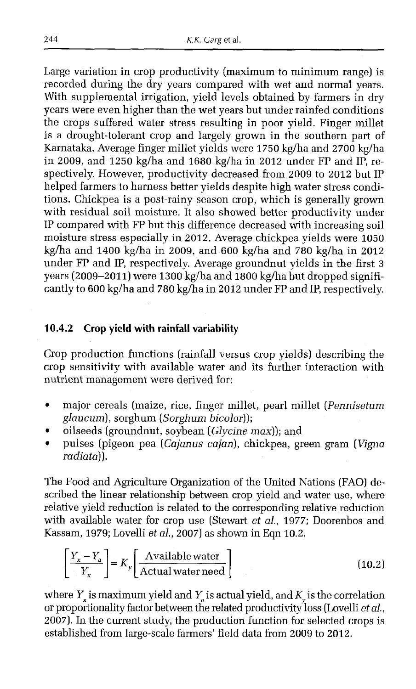Large variation in crop productivity (maximum to minimum range) is recorded during the dry years compared with wet and normal years. With supplemental irrigation, yield levels obtained by farmers in dry years were even higher than the wet years but under rainfed conditions the crops suffered water stress resulting in poor yield. Finger millet is a drought-tolerant crop and largely grown in the southern part of Karnataka. Average finger millet yields were 1750 kg/ha and 2700 kg/ha in 2009, and 1250 kg/ha and 1680 kg/ha in 2012 under FP and IP, respectively. However, productivity decreased from 2009 to 2012 but IP helped farmers to harness better yields despite high water stress conditions. Chickpea is a post-rainy season crop, which is generally grown with residual soil moisture. It also showed better productivity under IP compared with FP but this difference decreased with increasing soil moisture stress especially in 2012. Average chickpea yields were 1050 kg/ha and 1400 kg/ha in 2009, and 600 kg/ha and 780 kg/ha in 2012 under FP and IP, respectively. Average groundnut yields in the first 3 years (2009-2011) were 1300 kg/ha and 1800 kg/ha but dropped significantly to 600 kg/ha and 780 kg/ha in 2012 under FP and IP, respectively.

#### **10.4.2 Crop yield with rainfall variability**

Crop production functions (rainfall versus crop yields) describing the crop sensitivity with available water and its further interaction with nutrient management were derived for:

- major cereals (maize, rice, finger millet, pearl millet (*Pennisetum glaucum ),* sorghum (*Sorghum bicolor));*
- oilseeds (groundnut, soybean *[Glycine max));* and
- pulses (pigeon pea (*Cajanus cajan),* chickpea, green gram (*Vigna radiata)).*

The Food and Agriculture Organization of the United Nations (FAO) described the linear relationship between crop yield and water use, where relative yield reduction is related to the corresponding relative reduction with available water for crop use (Stewart *et al.,* 1977; Doorenbos and Kassam, 1979; Lovelli *et al.,* 2007) as shown in Eqn 10.2.

$$
\left[\frac{Y_x - Y_a}{Y_x}\right] = K_y \left[\frac{\text{Available water}}{\text{Actual water need}}\right]
$$
\n(10.2)

where  $Y_x$  is maximum yield and  $Y_a$  is actual yield, and  $K_v$  is the correlation or proportionality factor between the related productivity loss (Lovelli *et al.,* 2007). In the current study, the production function for selected crops is established from large-scale farmers' field data from 2009 to 2012.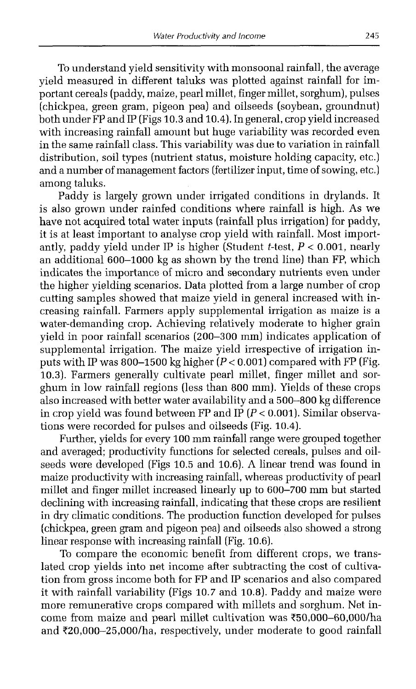To understand yield sensitivity with monsoonal rainfall, the average yield measured in different taluks was plotted against rainfall for important cereals (paddy, maize, pearl millet, finger millet, sorghum), pulses (chickpea, green gram, pigeon pea) and oilseeds (soybean, groundnut) both under FP and IP (Figs 10.3 and 10.4). In general, crop yield increased with increasing rainfall amount but huge variability was recorded even in the same rainfall class. This variability was due to variation in rainfall distribution, soil types (nutrient status, moisture holding capacity, etc.) and a number of management factors (fertilizer input, time of sowing, etc.) among taluks.

Paddy is largely grown under irrigated conditions in drylands. It is also grown under rainfed conditions where rainfall is high. As we have not acquired total water inputs (rainfall plus irrigation) for paddy, it is at least important to analyse crop yield with rainfall. Most importantly, paddy yield under IP is higher (Student  $t$ -test,  $P < 0.001$ , nearly an additional 600-1000 kg as shown by the trend line) than FP, which indicates the importance of micro and secondary nutrients even under the higher yielding scenarios. Data plotted from a large number of crop cutting samples showed that maize yield in general increased with increasing rainfall. Farmers apply supplemental irrigation as maize is a water-demanding crop. Achieving relatively moderate to higher grain yield in poor rainfall scenarios (200-300 mm) indicates application of supplemental irrigation. The maize yield irrespective of irrigation inputs with IP was  $800-1500$  kg higher  $(P < 0.001)$  compared with FP (Fig. 10.3). Farmers generally cultivate pearl millet, finger millet and sorghum in low rainfall regions (less than 800 mm). Yields of these crops also increased with better water availability and a 500-800 kg difference in crop yield was found between FP and IP  $(P < 0.001)$ . Similar observations were recorded for pulses and oilseeds (Fig. 10.4).

Further, yields for every 100 mm rainfall range were grouped together and averaged; productivity functions for selected cereals, pulses and oilseeds were developed (Figs 10.5 and 10.6). A linear trend was found in maize productivity with increasing rainfall, whereas productivity of pearl millet and finger millet increased linearly up to 600-700 mm but started declining with increasing rainfall, indicating that these crops are resilient in dry climatic conditions. The production function developed for pulses (chickpea, green gram and pigeon pea) and oilseeds also showed a strong linear response with increasing rainfall (Fig. 10.6).

To compare the economic benefit from different crops, we translated crop yields into net income after subtracting the cost of cultivation from gross income both for FP and IP scenarios and also compared it with rainfall variability (Figs 10.7 and 10.8). Paddy and maize were more remunerative crops compared with millets and sorghum. Net income from maize and pearl millet cultivation was ?50,000-60,000/ha and  $\text{\textsterling}20,000-25,000/h$ a, respectively, under moderate to good rainfall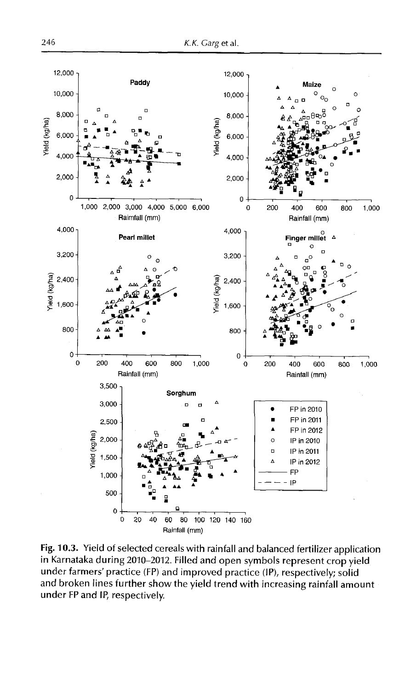

**Fig. 10.3.** Yield of selected cereals with rainfall and balanced fertilizer application in Karnataka during 2010-2012. Filled and open symbols represent crop yield under farmers' practice (FP) and improved practice (IP), respectively; solid and broken lines further show the yield trend with increasing rainfall amount under FPand IP, respectively.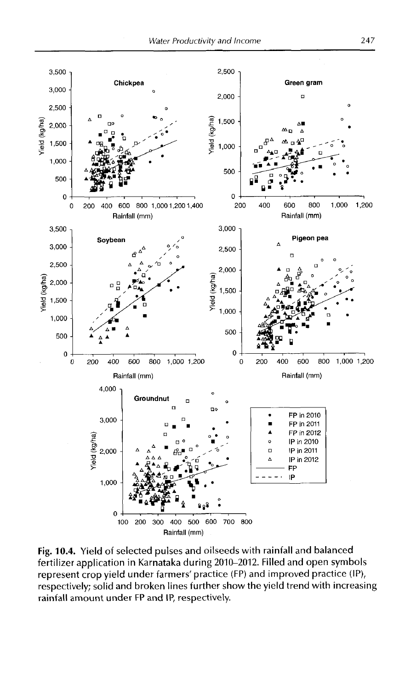

Fig. 10.4. Yield of selected pulses and oilseeds with rainfall and balanced fertilizer application in Karnataka during 2010-2012. Filled and open symbols represent crop yield under farmers' practice (FP) and improved practice (IP), respectively; solid and broken lines further show the yield trend with increasing rainfall amount under FP and IP, respectively.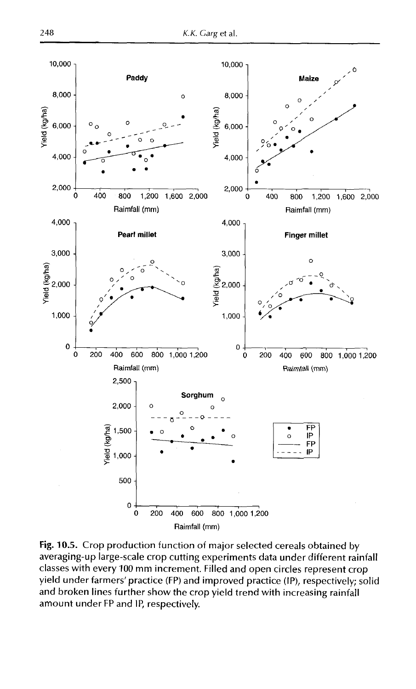

**Fig. 10.5.** Crop production function of major selected cereals obtained by averaging-up large-scale crop cutting experiments data under different rainfall classes with every 100 mm increment. Filled and open circles represent crop yield under farmers'practice (FP) and improved practice (IP), respectively; solid and broken lines further show the crop yield trend with increasing rainfall amount under FP and IP, respectively.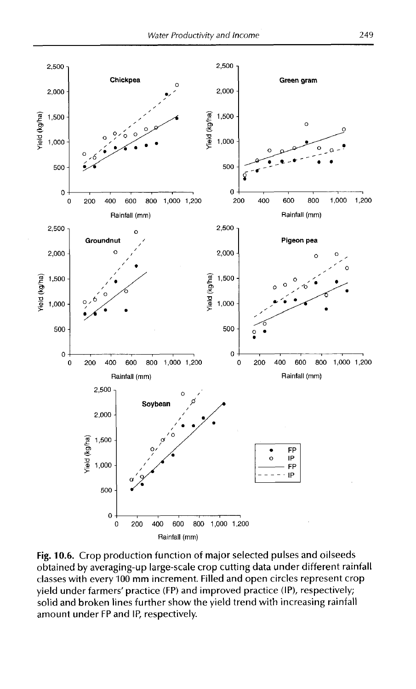

**Fig. 10.6.** Crop production function of major selected pulses and oilseeds obtained by averaging-up large-scale crop cutting data under different rainfall classes with every 100 mm increment. Filled and open circles represent crop yield under farmers' practice (FP) and improved practice (IP), respectively; solid and broken lines further show the yield trend with increasing rainfall amount under FP and IP, respectively.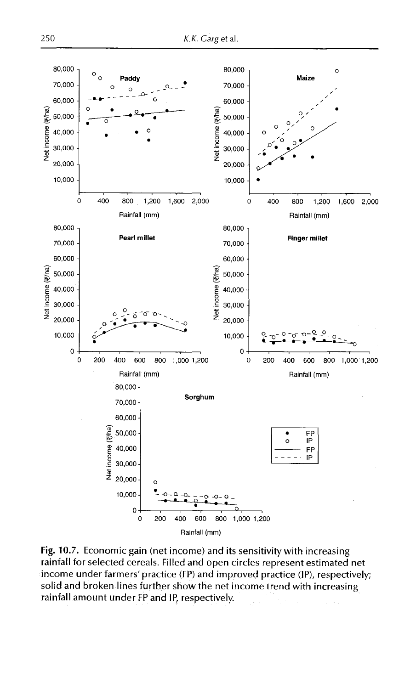

Fig. 10.7. Economic gain (net income) and its sensitivity with increasing rainfall for selected cereals. Filled and open circles represent estimated net income under farmers'practice (FP) and improved practice (IP), respectively; solid and broken lines further show the net income trend with increasing rainfall amount under FP and IP, respectively.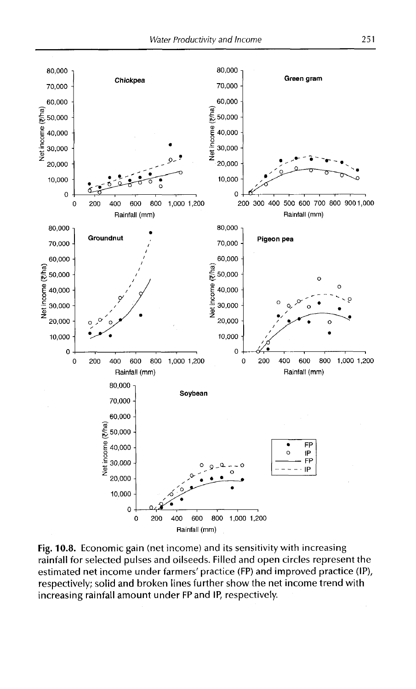

Fig. 10.8. Economic gain (net income) and its sensitivity with increasing rainfall for selected pulses and oilseeds. Filled and open circles represent the estimated net income under farmers' practice (FP) and improved practice (IP), respectively; solid and broken lines further show the net income trend with increasing rainfall amount under FPand IP, respectively.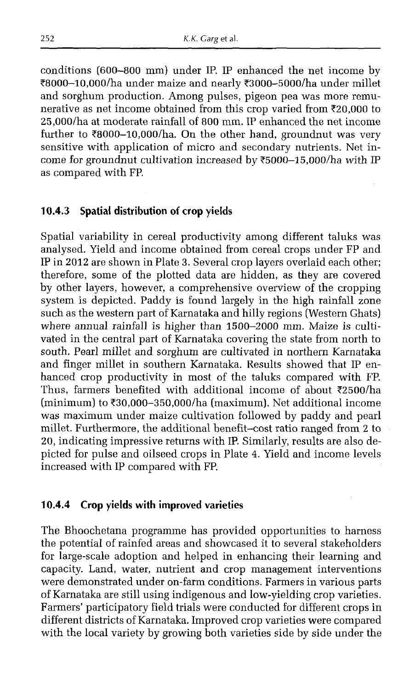conditions (600-800 mm) under IP. IP enhanced the net income by ?8000-10,000/ha under maize and nearly ?3000-5000/ha under millet and sorghum production. Among pulses, pigeon pea was more remunerative as net income obtained from this crop varied from ?20,000 to 25,000/ha at moderate rainfall of 800 mm. IP enhanced the net income further to  $\text{\textdegree}8000-10,000/ha$ . On the other hand, groundnut was very sensitive with application of micro and secondary nutrients. Net income for groundnut cultivation increased by  $\text{\texttt{F5000-15,000}}/ha$  with IP as compared with FP.

#### **10.4.3 Spatial distribution of crop yields**

Spatial variability in cereal productivity among different taluks was analysed. Yield and income obtained from cereal crops under FP and IP in 2012 are shown in Plate 3. Several crop layers overlaid each other; therefore, some of the plotted data are hidden, as they are covered by other layers, however, a comprehensive overview of the cropping system is depicted. Paddy is found largely in the high rainfall zone such as the western part of Karnataka and hilly regions (Western Ghats) where annual rainfall is higher than 1500-2000 mm. Maize is cultivated in the central part of Karnataka covering the state from north to south. Pearl millet and sorghum are cultivated in northern Karnataka and finger millet in southern Karnataka. Results showed that IP enhanced crop productivity in most of the taluks compared with FP. Thus, farmers benefited with additional income of about  $\overline{z}2500/ha$ (minimum) to  $\text{\textsterling}30.000\text{\textendash}350,000/\text{ha}$  (maximum). Net additional income was maximum under maize cultivation followed by paddy and pearl millet. Furthermore, the additional benefit-cost ratio ranged from 2 to 20, indicating impressive returns with IP. Similarly, results are also depicted for pulse and oilseed crops in Plate 4. Yield and income levels increased with IP compared with FP.

#### **10.4.4 Crop yields with improved varieties**

The Bhoochetana programme has provided opportunities to harness the potential of rainfed areas and showcased it to several stakeholders for large-scale adoption and helped in enhancing their learning and capacity. Land, water, nutrient and crop management interventions were demonstrated under on-farm conditions. Farmers in various parts of Karnataka are still using indigenous and low-yielding crop varieties. Farmers' participatory field trials were conducted for different crops in different districts of Karnataka. Improved crop varieties were compared with the local variety by growing both varieties side by side under the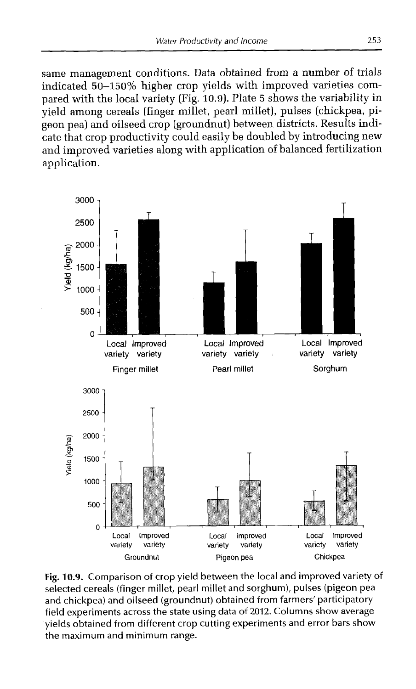same management conditions. Data obtained from a number of trials indicated 50-150% higher crop yields with improved varieties compared with the local variety (Fig. 10.9). Plate 5 shows the variability in yield among cereals (finger millet, pearl millet), pulses (chickpea, pigeon pea) and oilseed crop (groundnut) between districts. Results indicate that crop productivity could easily be doubled by introducing new and improved varieties along with application of balanced fertilization application.



Fig. 10.9. Comparison of crop yield between the local and improved variety of selected cereals (finger millet, pearl millet and sorghum), pulses (pigeon pea and chickpea) and oilseed (groundnut) obtained from farmers' participatory field experiments across the state using data of 2012. Columns show average yields obtained from different crop cutting experiments and error bars show the maximum and minimum range.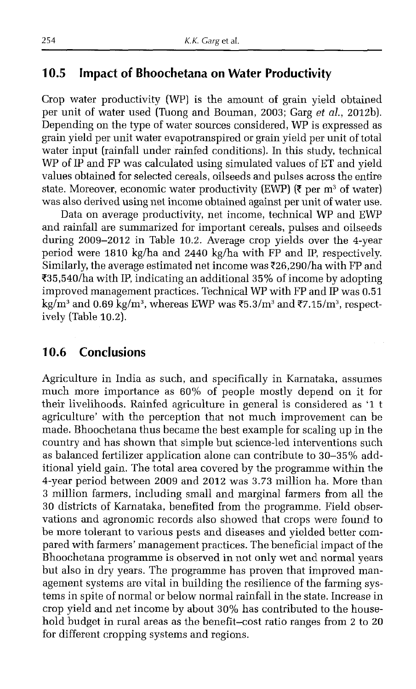### **10.5 Impact of Bhoochetana on Water Productivity**

Crop water productivity (WP) is the amount of grain yield obtained per unit of water used (Tuong and Bouman, 2003; Garg *et al.,* 2012b). Depending on the type of water sources considered, WP is expressed as grain yield per unit water evapotranspired or grain yield per unit of total water input (rainfall under rainfed conditions). In this study, technical WP of IP and FP was calculated using simulated values of ET and yield values obtained for selected cereals, oilseeds and pulses across the entire state. Moreover, economic water productivity (EWP) ( $\bar{\tau}$  per m<sup>3</sup> of water) was also derived using net income obtained against per unit of water use.

Data on average productivity, net income, technical WP and EWP and rainfall are summarized for important cereals, pulses and oilseeds during 2009-2012 in Table 10.2. Average crop yields over the 4-year period were 1810 kg/ha and 2440 kg/ha with FP and IP, respectively. Similarly, the average estimated net income was  $\bar{\zeta}26.290/h$  a with FP and ?35,540/ha with IP, indicating an additional 35% of income by adopting improved management practices. Technical WP with FP and IP was 0.51 kg/m<sup>3</sup> and 0.69 kg/m<sup>3</sup>, whereas EWP was  $\overline{55.3/m^3}$  and  $\overline{57.15/m^3}$ , respectively (Table 10.2).

### **10.6 Conclusions**

Agriculture in India as such, and specifically in Karnataka, assumes much more importance as 60% of people mostly depend on it for their livelihoods. Rainfed agriculture in general is considered as '1 t agriculture' with the perception that not much improvement can be made. Bhoochetana thus became the best example for scaling up in the country and has shown that simple but science-led interventions such as balanced fertilizer application alone can contribute to 30-35% additional yield gain. The total area covered by the programme within the 4-year period between 2009 and 2012 was 3.73 million ha. More than 3 million farmers, including small and marginal farmers from all the 30 districts of Karnataka, benefited from the programme. Field observations and agronomic records also showed that crops were found to be more tolerant to various pests and diseases and yielded better compared with farmers' management practices. The beneficial impact of the Bhoochetana programme is observed in not only wet and normal years but also in dry years. The programme has proven that improved management systems are vital in building the resilience of the farming systems in spite of normal or below normal rainfall in the state. Increase in crop yield and net income by about 30% has contributed to the household budget in rural areas as the benefit-cost ratio ranges from 2 to 20 for different cropping systems and regions.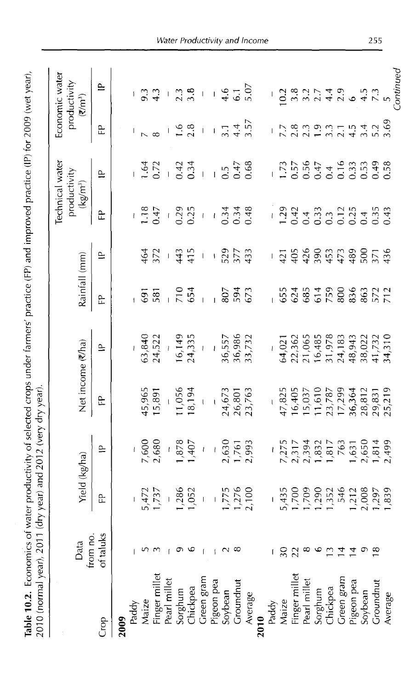| 2010   Vital Parties   2010   2010   2010   2010   2010   2020   2020   2020   2020   2020   2020   2020   20 |                  |                                                                                             |                                                                                                 |                                                                        |                                                          |               |                                | Technical water                                                                                                                                                                                                                                                                                                                 |                                                                        |                                                          | Economic water                              |
|---------------------------------------------------------------------------------------------------------------|------------------|---------------------------------------------------------------------------------------------|-------------------------------------------------------------------------------------------------|------------------------------------------------------------------------|----------------------------------------------------------|---------------|--------------------------------|---------------------------------------------------------------------------------------------------------------------------------------------------------------------------------------------------------------------------------------------------------------------------------------------------------------------------------|------------------------------------------------------------------------|----------------------------------------------------------|---------------------------------------------|
|                                                                                                               | from no.<br>Data | Yield (kg/ha)                                                                               |                                                                                                 | Net income (₹/ha)                                                      |                                                          | Rainfall (mm) |                                | productivity<br>$(kg/m^3)$                                                                                                                                                                                                                                                                                                      |                                                                        |                                                          | productivity<br>$(\overline{\epsilon}/m^3)$ |
| Gor                                                                                                           | of taluks        | 윤                                                                                           | $\cong$                                                                                         | 윤                                                                      | $\cong$                                                  | 욘             | $\cong$                        | 운                                                                                                                                                                                                                                                                                                                               | $\cong$                                                                | ٩,                                                       | $\cong$                                     |
| 2009                                                                                                          |                  |                                                                                             |                                                                                                 |                                                                        |                                                          |               |                                |                                                                                                                                                                                                                                                                                                                                 |                                                                        |                                                          |                                             |
| Paddy                                                                                                         |                  |                                                                                             |                                                                                                 |                                                                        |                                                          |               |                                |                                                                                                                                                                                                                                                                                                                                 |                                                                        |                                                          |                                             |
| Maize                                                                                                         |                  |                                                                                             |                                                                                                 |                                                                        |                                                          | 59            | 164                            | $-3.47$                                                                                                                                                                                                                                                                                                                         |                                                                        |                                                          | 9.3                                         |
| Finger millet                                                                                                 |                  | $-5,472$<br>1,737                                                                           | $7,600$<br>2,680                                                                                | 45,965<br>15,891                                                       | $\overline{63,840}$<br>24,522                            | 581           | 372                            |                                                                                                                                                                                                                                                                                                                                 | $1.64$<br>0.72                                                         |                                                          | 4.3                                         |
| Pearl millet                                                                                                  |                  |                                                                                             |                                                                                                 |                                                                        |                                                          |               |                                | $\bar{1}$                                                                                                                                                                                                                                                                                                                       |                                                                        |                                                          |                                             |
|                                                                                                               |                  |                                                                                             |                                                                                                 |                                                                        |                                                          | $-70$<br>54   | 445                            | $0.29$<br>$0.25$                                                                                                                                                                                                                                                                                                                |                                                                        |                                                          |                                             |
| Sorghum<br>Chickpea                                                                                           |                  | $\frac{1}{1,286}$                                                                           | $\frac{1}{1,878}$                                                                               | $\frac{11,056}{18,194}$                                                | $16,149$<br>24,335                                       |               |                                |                                                                                                                                                                                                                                                                                                                                 | $0.42$<br>0.34                                                         | ې م<br>۱. م                                              | $2.3 - 6$                                   |
| Green gram                                                                                                    |                  |                                                                                             |                                                                                                 |                                                                        |                                                          |               | $\begin{array}{c} \end{array}$ | $\bar{l}$                                                                                                                                                                                                                                                                                                                       | $\frac{1}{\sqrt{2}}$                                                   | $\overline{1}$                                           |                                             |
| Pigeon pea                                                                                                    |                  |                                                                                             | $\bar{t}$                                                                                       |                                                                        | $\overline{1}$                                           |               | $\pmb{\mathsf{i}}$             | $\overline{1}$                                                                                                                                                                                                                                                                                                                  |                                                                        | $\overline{1}$                                           |                                             |
| Soybean                                                                                                       |                  |                                                                                             |                                                                                                 |                                                                        | 36,557<br>36,986<br>33,732                               | 807           |                                | $0.34$<br>$0.48$                                                                                                                                                                                                                                                                                                                | $0.5$<br>$0.47$<br>$0.68$                                              | $3.\overline{1}$<br>$4.\overline{5}$<br>$3.\overline{5}$ |                                             |
| Groundnut                                                                                                     |                  |                                                                                             |                                                                                                 |                                                                        |                                                          | 594<br>673    | 525<br>377<br>433              |                                                                                                                                                                                                                                                                                                                                 |                                                                        |                                                          | $4.6$<br>$6.1$<br>$5.07$                    |
| Average                                                                                                       |                  | $\frac{1}{1,775}$<br>1,775<br>1,276                                                         | 2,630<br>1,761<br>2,993                                                                         | 24,673<br>26,801<br>23,763                                             |                                                          |               |                                |                                                                                                                                                                                                                                                                                                                                 |                                                                        |                                                          |                                             |
| 2010                                                                                                          |                  |                                                                                             |                                                                                                 |                                                                        |                                                          |               |                                |                                                                                                                                                                                                                                                                                                                                 |                                                                        |                                                          |                                             |
| Paddy                                                                                                         |                  |                                                                                             | $\begin{array}{c} \hline \end{array}$                                                           |                                                                        |                                                          |               |                                |                                                                                                                                                                                                                                                                                                                                 |                                                                        |                                                          |                                             |
| Maize                                                                                                         |                  |                                                                                             |                                                                                                 |                                                                        |                                                          |               |                                |                                                                                                                                                                                                                                                                                                                                 |                                                                        |                                                          |                                             |
|                                                                                                               |                  |                                                                                             |                                                                                                 |                                                                        |                                                          |               |                                |                                                                                                                                                                                                                                                                                                                                 |                                                                        |                                                          |                                             |
| Finger millet<br>Pearl millet                                                                                 |                  |                                                                                             |                                                                                                 |                                                                        |                                                          |               |                                |                                                                                                                                                                                                                                                                                                                                 |                                                                        |                                                          |                                             |
|                                                                                                               |                  |                                                                                             |                                                                                                 |                                                                        |                                                          |               |                                |                                                                                                                                                                                                                                                                                                                                 |                                                                        |                                                          |                                             |
| Sorghum<br>Chickpea                                                                                           |                  |                                                                                             |                                                                                                 |                                                                        |                                                          |               |                                |                                                                                                                                                                                                                                                                                                                                 |                                                                        |                                                          |                                             |
| Green gram                                                                                                    |                  | $-$<br>$1,700$<br>$1,700$<br>$1,352$<br>$1,352$<br>$1,432$<br>$1,608$<br>$1,839$<br>$1,839$ | $7,275$<br>$2,317$<br>$2,394$<br>$7,832$<br>$7,631$<br>$7,631$<br>$7,631$<br>$7,694$<br>$7,499$ | 47,825<br>16,405<br>15,037<br>17,789<br>17,298,831<br>28,832<br>29,219 | 64,021<br>22,362<br>21,065<br>16,485<br>31,978<br>24,183 | 534549863277  |                                | $\frac{1}{2}$ , $\frac{3}{4}$ , $\frac{4}{3}$ , $\frac{3}{4}$ , $\frac{3}{4}$ , $\frac{3}{4}$ , $\frac{3}{4}$ , $\frac{3}{4}$ , $\frac{3}{4}$ , $\frac{3}{4}$ , $\frac{3}{4}$ , $\frac{3}{4}$ , $\frac{3}{4}$ , $\frac{3}{4}$ , $\frac{3}{4}$ , $\frac{3}{4}$ , $\frac{3}{4}$ , $\frac{3}{4}$ , $\frac{3}{4}$ , $\frac{3}{4}$ , | $1.73$<br>$1.556$<br>$0.547$<br>$0.533$<br>$0.533$<br>$0.58$<br>$0.58$ | フ<br>フィントミントラム P.G.<br>フィントミントラム P.G.                    |                                             |
|                                                                                                               |                  |                                                                                             |                                                                                                 |                                                                        | 48,943                                                   |               |                                |                                                                                                                                                                                                                                                                                                                                 |                                                                        |                                                          |                                             |
| Pigeon pea<br>Soybean                                                                                         |                  |                                                                                             |                                                                                                 |                                                                        |                                                          |               |                                |                                                                                                                                                                                                                                                                                                                                 |                                                                        |                                                          |                                             |
| Groundnut                                                                                                     |                  |                                                                                             |                                                                                                 |                                                                        | 38,022<br>41,732<br>34,310                               |               |                                |                                                                                                                                                                                                                                                                                                                                 |                                                                        |                                                          |                                             |
| Average                                                                                                       |                  |                                                                                             |                                                                                                 |                                                                        |                                                          |               |                                |                                                                                                                                                                                                                                                                                                                                 |                                                                        |                                                          |                                             |
|                                                                                                               |                  |                                                                                             |                                                                                                 |                                                                        |                                                          |               |                                |                                                                                                                                                                                                                                                                                                                                 |                                                                        |                                                          | Continued                                   |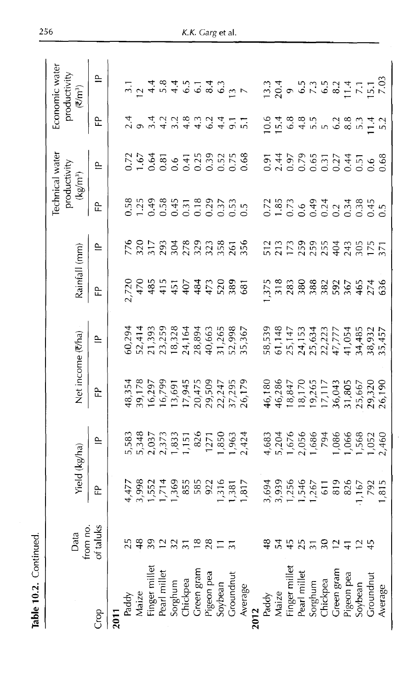| Rainfall (mm)<br>Net income (₹/ha)<br>Yield (kg/ha)                                                                                                                                                                                                                                                                                                                                                                                                                                |
|------------------------------------------------------------------------------------------------------------------------------------------------------------------------------------------------------------------------------------------------------------------------------------------------------------------------------------------------------------------------------------------------------------------------------------------------------------------------------------|
| Ê<br>$\cong$<br>운<br>$\cong$<br>운                                                                                                                                                                                                                                                                                                                                                                                                                                                  |
|                                                                                                                                                                                                                                                                                                                                                                                                                                                                                    |
|                                                                                                                                                                                                                                                                                                                                                                                                                                                                                    |
|                                                                                                                                                                                                                                                                                                                                                                                                                                                                                    |
| 202557242000122445288                                                                                                                                                                                                                                                                                                                                                                                                                                                              |
|                                                                                                                                                                                                                                                                                                                                                                                                                                                                                    |
|                                                                                                                                                                                                                                                                                                                                                                                                                                                                                    |
|                                                                                                                                                                                                                                                                                                                                                                                                                                                                                    |
|                                                                                                                                                                                                                                                                                                                                                                                                                                                                                    |
| $\begin{array}{l} 50,294 \\ 50,241 \\ 7,393 \\ 7,414 \\ 893 \\ 10,208 \\ 11,393 \\ 12,414 \\ 13,428 \\ 14,439 \\ 15,438 \\ 16,463 \\ 17,498 \\ 18,408 \\ 19,508 \\ 15,567 \\ 18,567 \\ 19,408 \\ 10,408 \\ 13,408 \\ 14,408 \\ 15,408 \\ 16,408 \\ 17,408 \\ 18,408 \\ 19,408 \\ 10,408 \\ 1$<br>1,583<br>1,837,573,575<br>2,977,833,575<br>1,850,657<br>1,850,424                                                                                                                 |
|                                                                                                                                                                                                                                                                                                                                                                                                                                                                                    |
|                                                                                                                                                                                                                                                                                                                                                                                                                                                                                    |
| $\begin{array}{l} 43.354\\ 17.81\\ 18.799\\ 16.799\\ 17.697\\ 17.697\\ 17.947\\ 17.2947\\ 17.2947\\ 17.295\\ 20.217\\ 21.291\\ 22.217\\ 23.217\\ 24.295\\ 25.237\\ 26.179\\ 28.179\\ 29.217\\ 21.291\\ 22.237\\ 23.237\\ 24.293\\ 25.237\\ 26.237\\ 27.293\\ 28.$                                                                                                                                                                                                                  |
|                                                                                                                                                                                                                                                                                                                                                                                                                                                                                    |
|                                                                                                                                                                                                                                                                                                                                                                                                                                                                                    |
|                                                                                                                                                                                                                                                                                                                                                                                                                                                                                    |
|                                                                                                                                                                                                                                                                                                                                                                                                                                                                                    |
|                                                                                                                                                                                                                                                                                                                                                                                                                                                                                    |
|                                                                                                                                                                                                                                                                                                                                                                                                                                                                                    |
|                                                                                                                                                                                                                                                                                                                                                                                                                                                                                    |
|                                                                                                                                                                                                                                                                                                                                                                                                                                                                                    |
|                                                                                                                                                                                                                                                                                                                                                                                                                                                                                    |
|                                                                                                                                                                                                                                                                                                                                                                                                                                                                                    |
| $\begin{array}{l} 38,539\\ 51,142\\ 51,147\\ 55,153\\ 21,153\\ 22,277\\ 23,38\\ 32,453\\ 43,485\\ 5,457\\ 24,458\\ 5,457\\ 5,457\\ 5,457\\ 5,457\\ 5,457\\ 5,457\\ 5,457\\ 5,457\\ 5,457\\ 5,457\\ 5,457\\ 5,457\\ 5,457\\ 5,457\\ 5,457\\ 5,457\\ 5,457\\ 5,457\\ $<br>46,180<br>46,286<br>18,847<br>19,265,117<br>19,043,18,057<br>19,043,18,057<br>20,1900<br>4,683<br>0,676,686<br>0,676,686,688<br>0,17,000,000,000,000<br>1694<br>1693 1695 1696 1697<br>1696 1697 1698 1699 |
|                                                                                                                                                                                                                                                                                                                                                                                                                                                                                    |

**Table 10.2.** Continued.

Table 10.2. Continued.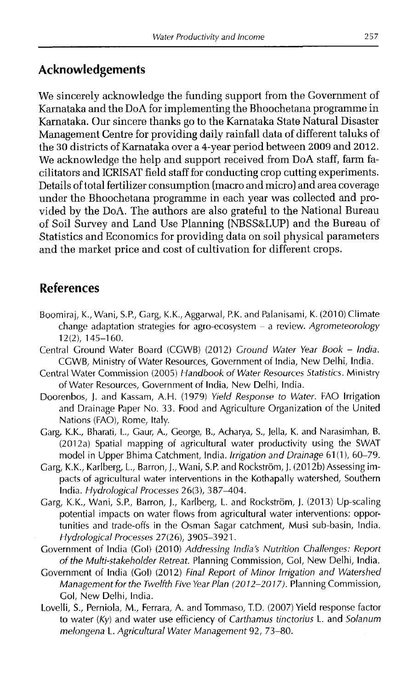### **Acknowledgements**

We sincerely acknowledge the funding support from the Government of Karnataka and the DoA for implementing the Bhoochetana programme in Karnataka. Our sincere thanks go to the Karnataka State Natural Disaster Management Centre for providing daily rainfall data of different taluks of the 30 districts of Karnataka over a 4-year period between 2009 and 2012. We acknowledge the help and support received from DoA staff, farm facilitators and ICRISAT field staff for conducting crop cutting experiments. Details of total fertilizer consumption (macro and micro) and area coverage under the Bhoochetana programme in each year was collected and provided by the DoA. The authors are also grateful to the National Bureau of Soil Survey and Land Use Planning (NBSS&LUP) and the Bureau of Statistics and Economics for providing data on soil physical parameters and the market price and cost of cultivation for different crops.

### **References**

- Boomiraj, K., Wani, S.P., Garg, K.K., Aggarwal, P.K. and Palanisami, K. (2010) Climate change adaptation strategies for agro-ecosystem - a review. *Agrometeorology* 12(2), 145-160.
- Central Ground Water Board (CGWB) (2012) *Ground Water Year Book India.* CGWB, Ministry of Water Resources, Government of India, New Delhi, India.
- Central Water Commission (2005) *Handbook of Water Resources Statistics.* Ministry of Water Resources, Government of India, New Delhi, India.
- Doorenbos, J. and Kassam, A.H. (1979) *Yield Response to Water.* FAO Irrigation and Drainage Paper No. 33. Food and Agriculture Organization of the United Nations (FAO), Rome, Italy.
- Garg, K.K., Bharati, L., Gaur, A., George, B., Acharya, S., Jella, K. and Narasimhan, B. (2012a) Spatial mapping of agricultural water productivity using the SWAT model in Upper Bhima Catchment, India. *Irrigation and Drainage* 61 (1), 60-79.
- Garg, K.K., Karlberg, L., Barron, J., Wani, S.P. and Rockström, J. (2012b) Assessing impacts of agricultural water interventions in the Kothapally watershed, Southern India. *Hydrological Processes* 26(3), 387-404.
- Garg, K.K., Wani, S.P., Barron, J., Karlberg, L. and Rockström, J. (2013) Up-scaling potential impacts on water flows from agricultural water interventions: opportunities and trade-offs in the Osman Sagar catchment, Musi sub-basin, India. *Hydrological Processes* 27(26), 3905-3921.
- Government of India (Gol) (2010) *Addressing India's Nutrition Challenges: Report of the Multi-stakeholder Retreat.* Planning Commission, Gol, New Delhi, India.
- Government of India (Gol) (2012) *Final Report of Minor Irrigation and Watershed Management for the Twelfth Five Year Plan (2012-2017).* Planning Commission, Gol, New Delhi, India.
- Lovelli, S., Perniola, M., Ferrara, A. and Tommaso, T.D. (2007) Yield response factor to water *(Ky)* and water use efficiency of *Carthamus tinctorius* L. and *Solanum melongena* L. *Agricultural Water Management* 92, 73-80.